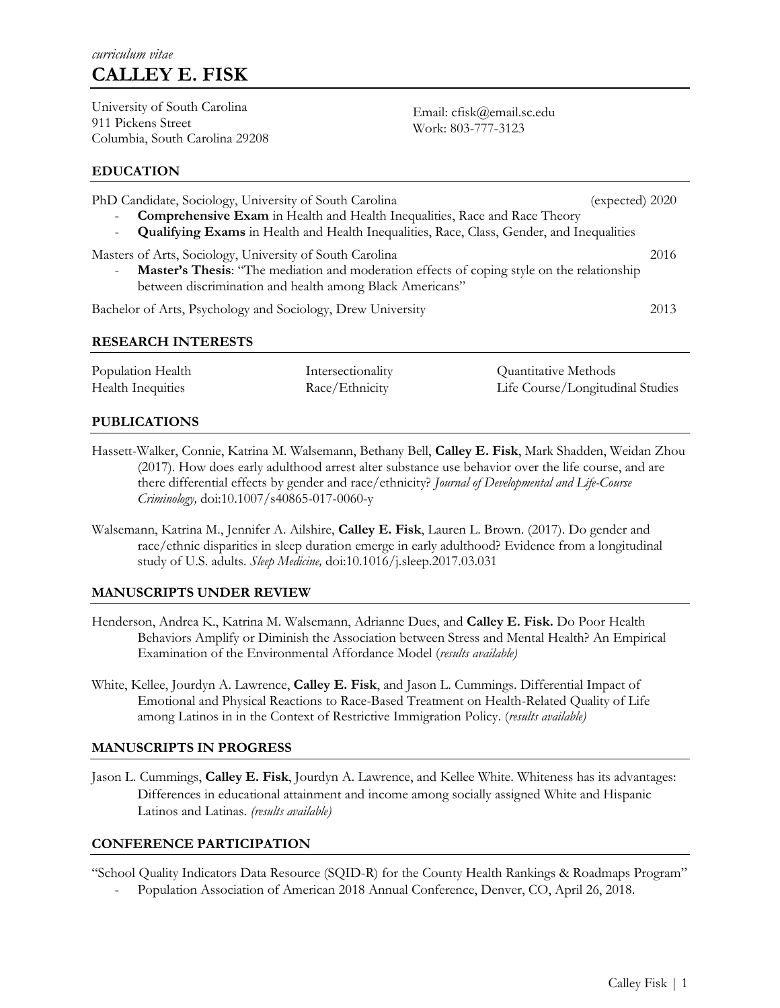University of South Carolina 911 Pickens Street Columbia, South Carolina 29208

Email: cfisk@email.sc.edu Work: 803-777-3123

### **EDUCATION**

| PhD Candidate, Sociology, University of South Carolina<br>Comprehensive Exam in Health and Health Inequalities, Race and Race Theory                                                                                       | (expected) 2020                                                                                  |                                                          |  |  |
|----------------------------------------------------------------------------------------------------------------------------------------------------------------------------------------------------------------------------|--------------------------------------------------------------------------------------------------|----------------------------------------------------------|--|--|
| -                                                                                                                                                                                                                          | <b>Qualifying Exams</b> in Health and Health Inequalities, Race, Class, Gender, and Inequalities |                                                          |  |  |
| Masters of Arts, Sociology, University of South Carolina<br>2016<br>Master's Thesis: "The mediation and moderation effects of coping style on the relationship<br>between discrimination and health among Black Americans" |                                                                                                  |                                                          |  |  |
| Bachelor of Arts, Psychology and Sociology, Drew University                                                                                                                                                                |                                                                                                  |                                                          |  |  |
| <b>RESEARCH INTERESTS</b>                                                                                                                                                                                                  |                                                                                                  |                                                          |  |  |
| Population Health<br>Health Inequities                                                                                                                                                                                     | Intersectionality<br>Race/Ethnicity                                                              | Quantitative Methods<br>Life Course/Longitudinal Studies |  |  |

### **PUBLICATIONS**

- Hassett-Walker, Connie, Katrina M. Walsemann, Bethany Bell, **Calley E. Fisk**, Mark Shadden, Weidan Zhou (2017). How does early adulthood arrest alter substance use behavior over the life course, and are there differential effects by gender and race/ethnicity? *Journal of Developmental and Life-Course Criminology,* doi:10.1007/s40865-017-0060-y
- Walsemann, Katrina M., Jennifer A. Ailshire, **Calley E. Fisk**, Lauren L. Brown. (2017). Do gender and race/ethnic disparities in sleep duration emerge in early adulthood? Evidence from a longitudinal study of U.S. adults. *Sleep Medicine,* doi:10.1016/j.sleep.2017.03.031

### **MANUSCRIPTS UNDER REVIEW**

- Henderson, Andrea K., Katrina M. Walsemann, Adrianne Dues, and **Calley E. Fisk.** Do Poor Health Behaviors Amplify or Diminish the Association between Stress and Mental Health? An Empirical Examination of the Environmental Affordance Model (*results available)*
- White, Kellee, Jourdyn A. Lawrence, **Calley E. Fisk**, and Jason L. Cummings. Differential Impact of Emotional and Physical Reactions to Race-Based Treatment on Health-Related Quality of Life among Latinos in in the Context of Restrictive Immigration Policy. (*results available)*

#### **MANUSCRIPTS IN PROGRESS**

Jason L. Cummings, **Calley E. Fisk**, Jourdyn A. Lawrence, and Kellee White. Whiteness has its advantages: Differences in educational attainment and income among socially assigned White and Hispanic Latinos and Latinas. *(results available)* 

### **CONFERENCE PARTICIPATION**

"School Quality Indicators Data Resource (SQID-R) for the County Health Rankings & Roadmaps Program"

Population Association of American 2018 Annual Conference, Denver, CO, April 26, 2018.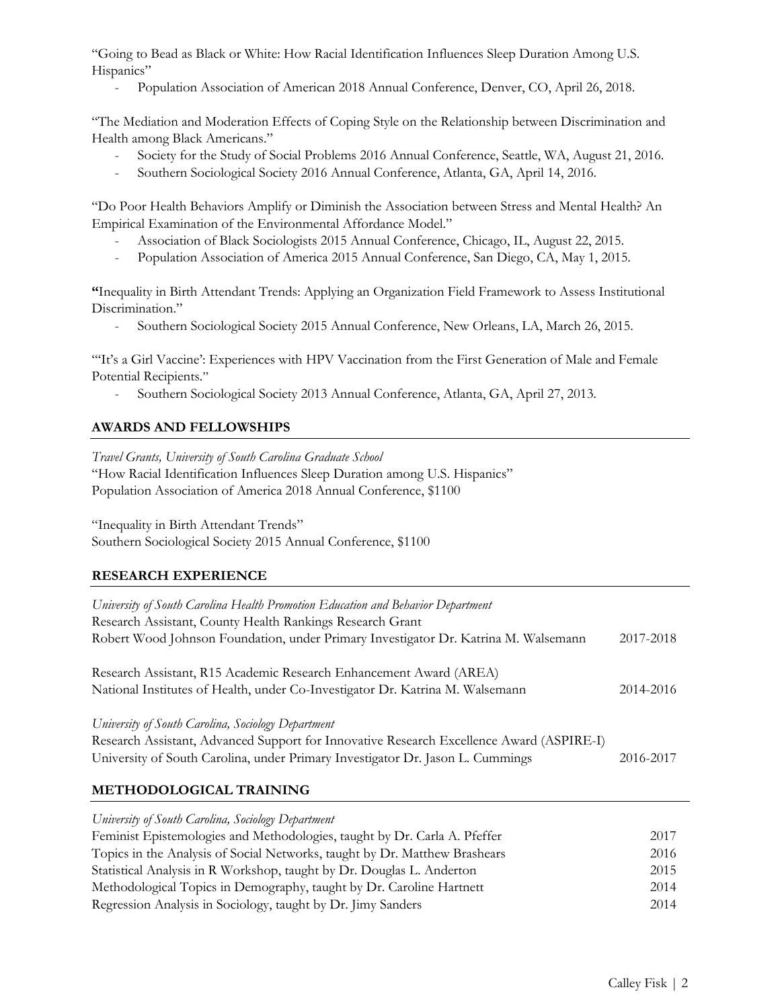"Going to Bead as Black or White: How Racial Identification Influences Sleep Duration Among U.S. Hispanics"

- Population Association of American 2018 Annual Conference, Denver, CO, April 26, 2018.

"The Mediation and Moderation Effects of Coping Style on the Relationship between Discrimination and Health among Black Americans."

- Society for the Study of Social Problems 2016 Annual Conference, Seattle, WA, August 21, 2016.
- Southern Sociological Society 2016 Annual Conference, Atlanta, GA, April 14, 2016.

"Do Poor Health Behaviors Amplify or Diminish the Association between Stress and Mental Health? An Empirical Examination of the Environmental Affordance Model."

- Association of Black Sociologists 2015 Annual Conference, Chicago, IL, August 22, 2015.
- Population Association of America 2015 Annual Conference, San Diego, CA, May 1, 2015.

**"**Inequality in Birth Attendant Trends: Applying an Organization Field Framework to Assess Institutional Discrimination."

- Southern Sociological Society 2015 Annual Conference, New Orleans, LA, March 26, 2015.

"'It's a Girl Vaccine': Experiences with HPV Vaccination from the First Generation of Male and Female Potential Recipients."

- Southern Sociological Society 2013 Annual Conference, Atlanta, GA, April 27, 2013.

# **AWARDS AND FELLOWSHIPS**

*Travel Grants, University of South Carolina Graduate School*

"How Racial Identification Influences Sleep Duration among U.S. Hispanics" Population Association of America 2018 Annual Conference, \$1100

"Inequality in Birth Attendant Trends"

Southern Sociological Society 2015 Annual Conference, \$1100

# **RESEARCH EXPERIENCE**

| University of South Carolina Health Promotion Education and Behavior Department          |           |
|------------------------------------------------------------------------------------------|-----------|
| Research Assistant, County Health Rankings Research Grant                                |           |
| Robert Wood Johnson Foundation, under Primary Investigator Dr. Katrina M. Walsemann      | 2017-2018 |
| Research Assistant, R15 Academic Research Enhancement Award (AREA)                       |           |
| National Institutes of Health, under Co-Investigator Dr. Katrina M. Walsemann            | 2014-2016 |
| University of South Carolina, Sociology Department                                       |           |
| Research Assistant, Advanced Support for Innovative Research Excellence Award (ASPIRE-I) |           |
| University of South Carolina, under Primary Investigator Dr. Jason L. Cummings           | 2016-2017 |
| <b>METHODOLOGICAL TRAINING</b>                                                           |           |
| University of South Carolina, Sociology Department                                       |           |
| Feminist Epistemologies and Methodologies, taught by Dr. Carla A. Pfeffer                | 2017      |

Topics in the Analysis of Social Networks, taught by Dr. Matthew Brashears 2016 Statistical Analysis in R Workshop, taught by Dr. Douglas L. Anderton 2015 Methodological Topics in Demography, taught by Dr. Caroline Hartnett 2014 Regression Analysis in Sociology, taught by Dr. Jimy Sanders 2014